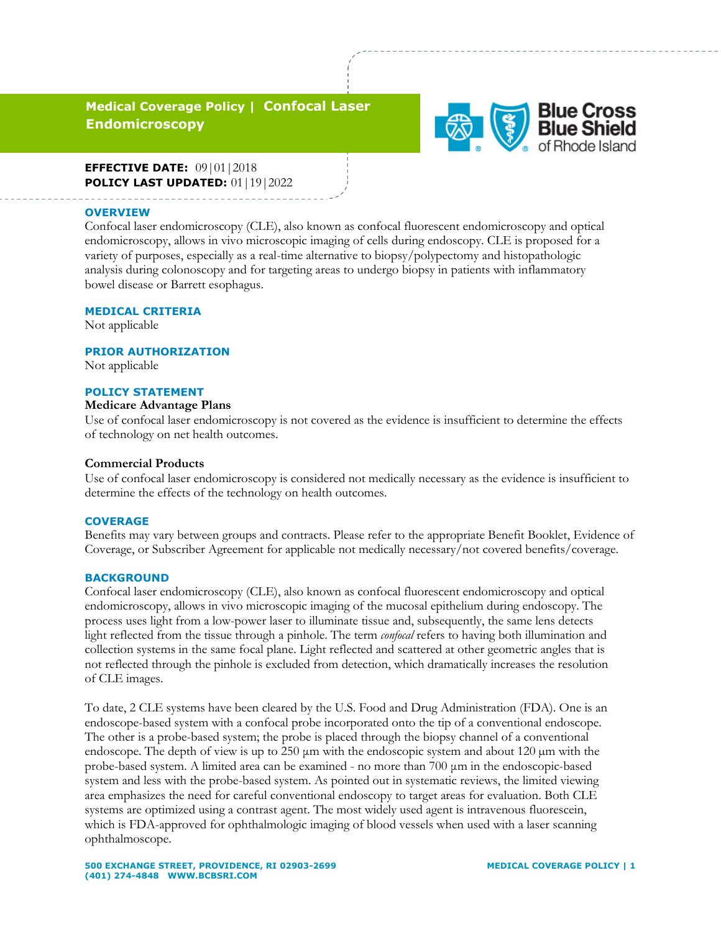# **Medical Coverage Policy | Confocal Laser Endomicroscopy**



**EFFECTIVE DATE:** 09|01|2018 **POLICY LAST UPDATED:** 01|19|2022

#### **OVERVIEW**

Confocal laser endomicroscopy (CLE), also known as confocal fluorescent endomicroscopy and optical endomicroscopy, allows in vivo microscopic imaging of cells during endoscopy. CLE is proposed for a variety of purposes, especially as a real-time alternative to biopsy/polypectomy and histopathologic analysis during colonoscopy and for targeting areas to undergo biopsy in patients with inflammatory bowel disease or Barrett esophagus.

#### **MEDICAL CRITERIA**

Not applicable

#### **PRIOR AUTHORIZATION**

Not applicable

### **POLICY STATEMENT**

#### **Medicare Advantage Plans**

Use of confocal laser endomicroscopy is not covered as the evidence is insufficient to determine the effects of technology on net health outcomes.

#### **Commercial Products**

Use of confocal laser endomicroscopy is considered not medically necessary as the evidence is insufficient to determine the effects of the technology on health outcomes.

#### **COVERAGE**

Benefits may vary between groups and contracts. Please refer to the appropriate Benefit Booklet, Evidence of Coverage, or Subscriber Agreement for applicable not medically necessary/not covered benefits/coverage.

#### **BACKGROUND**

Confocal laser endomicroscopy (CLE), also known as confocal fluorescent endomicroscopy and optical endomicroscopy, allows in vivo microscopic imaging of the mucosal epithelium during endoscopy. The process uses light from a low-power laser to illuminate tissue and, subsequently, the same lens detects light reflected from the tissue through a pinhole. The term *confocal* refers to having both illumination and collection systems in the same focal plane. Light reflected and scattered at other geometric angles that is not reflected through the pinhole is excluded from detection, which dramatically increases the resolution of CLE images.

To date, 2 CLE systems have been cleared by the U.S. Food and Drug Administration (FDA). One is an endoscope-based system with a confocal probe incorporated onto the tip of a conventional endoscope. The other is a probe-based system; the probe is placed through the biopsy channel of a conventional endoscope. The depth of view is up to  $250 \mu m$  with the endoscopic system and about  $120 \mu m$  with the probe-based system. A limited area can be examined - no more than 700 μm in the endoscopic-based system and less with the probe-based system. As pointed out in systematic reviews, the limited viewing area emphasizes the need for careful conventional endoscopy to target areas for evaluation. Both CLE systems are optimized using a contrast agent. The most widely used agent is intravenous fluorescein, which is FDA-approved for ophthalmologic imaging of blood vessels when used with a laser scanning ophthalmoscope.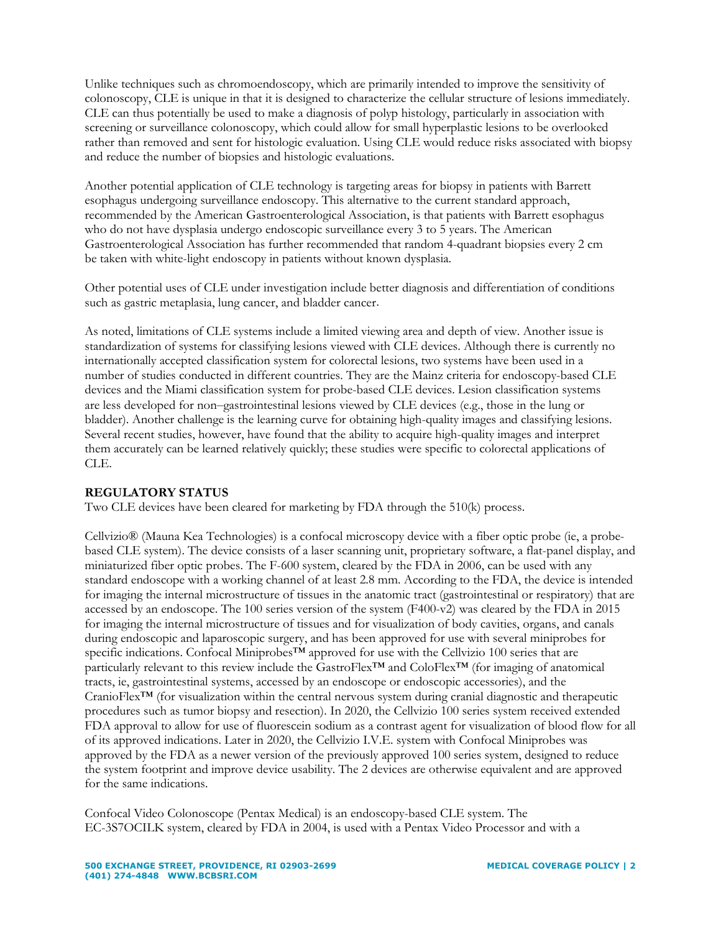Unlike techniques such as chromoendoscopy, which are primarily intended to improve the sensitivity of colonoscopy, CLE is unique in that it is designed to characterize the cellular structure of lesions immediately. CLE can thus potentially be used to make a diagnosis of polyp histology, particularly in association with screening or surveillance colonoscopy, which could allow for small hyperplastic lesions to be overlooked rather than removed and sent for histologic evaluation. Using CLE would reduce risks associated with biopsy and reduce the number of biopsies and histologic evaluations.

Another potential application of CLE technology is targeting areas for biopsy in patients with Barrett esophagus undergoing surveillance endoscopy. This alternative to the current standard approach, recommended by the American Gastroenterological Association, is that patients with Barrett esophagus who do not have dysplasia undergo endoscopic surveillance every 3 to 5 years. The American Gastroenterological Association has further recommended that random 4-quadrant biopsies every 2 cm be taken with white-light endoscopy in patients without known dysplasia.

Other potential uses of CLE under investigation include better diagnosis and differentiation of conditions such as gastric metaplasia, lung cancer, and bladder cancer.

As noted, limitations of CLE systems include a limited viewing area and depth of view. Another issue is standardization of systems for classifying lesions viewed with CLE devices. Although there is currently no internationally accepted classification system for colorectal lesions, two systems have been used in a number of studies conducted in different countries. They are the Mainz criteria for endoscopy-based CLE devices and the Miami classification system for probe-based CLE devices. Lesion classification systems are less developed for non-gastrointestinal lesions viewed by CLE devices (e.g., those in the lung or bladder). Another challenge is the learning curve for obtaining high-quality images and classifying lesions. Several recent studies, however, have found that the ability to acquire high-quality images and interpret them accurately can be learned relatively quickly; these studies were specific to colorectal applications of CLE.

## **REGULATORY STATUS**

Two CLE devices have been cleared for marketing by FDA through the 510(k) process.

Cellvizio® (Mauna Kea Technologies) is a confocal microscopy device with a fiber optic probe (ie, a probebased CLE system). The device consists of a laser scanning unit, proprietary software, a flat-panel display, and miniaturized fiber optic probes. The F-600 system, cleared by the FDA in 2006, can be used with any standard endoscope with a working channel of at least 2.8 mm. According to the FDA, the device is intended for imaging the internal microstructure of tissues in the anatomic tract (gastrointestinal or respiratory) that are accessed by an endoscope. The 100 series version of the system (F400-v2) was cleared by the FDA in 2015 for imaging the internal microstructure of tissues and for visualization of body cavities, organs, and canals during endoscopic and laparoscopic surgery, and has been approved for use with several miniprobes for specific indications. Confocal Miniprobes™ approved for use with the Cellvizio 100 series that are particularly relevant to this review include the GastroFlex™ and ColoFlex™ (for imaging of anatomical tracts, ie, gastrointestinal systems, accessed by an endoscope or endoscopic accessories), and the CranioFlex™ (for visualization within the central nervous system during cranial diagnostic and therapeutic procedures such as tumor biopsy and resection). In 2020, the Cellvizio 100 series system received extended FDA approval to allow for use of fluorescein sodium as a contrast agent for visualization of blood flow for all of its approved indications. Later in 2020, the Cellvizio I.V.E. system with Confocal Miniprobes was approved by the FDA as a newer version of the previously approved 100 series system, designed to reduce the system footprint and improve device usability. The 2 devices are otherwise equivalent and are approved for the same indications.

Confocal Video Colonoscope (Pentax Medical) is an endoscopy-based CLE system. The EC-3S7OCILK system, cleared by FDA in 2004, is used with a Pentax Video Processor and with a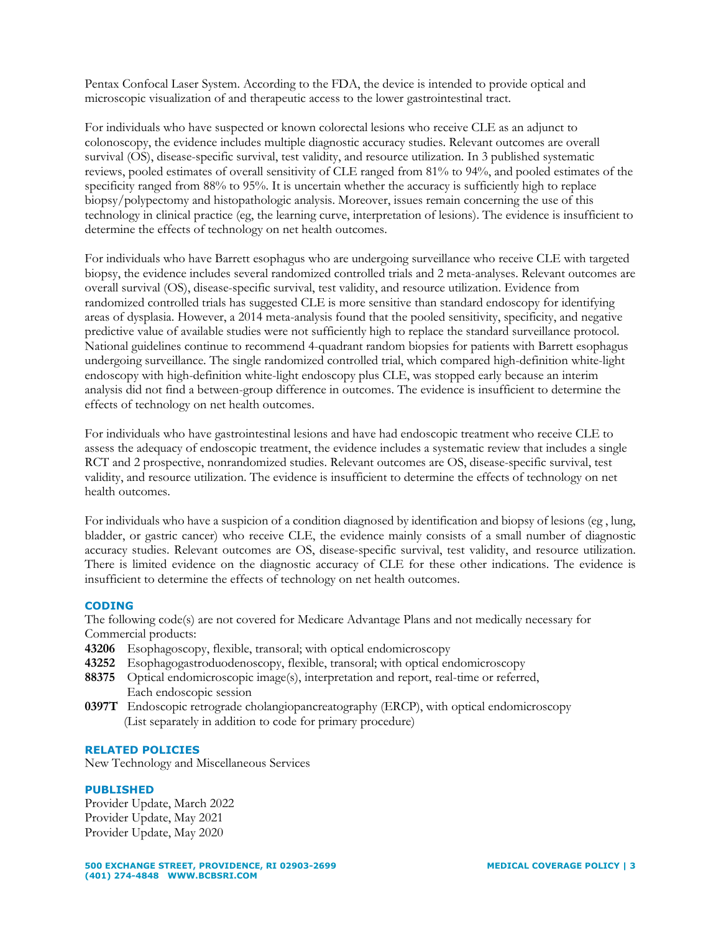Pentax Confocal Laser System. According to the FDA, the device is intended to provide optical and microscopic visualization of and therapeutic access to the lower gastrointestinal tract.

For individuals who have suspected or known colorectal lesions who receive CLE as an adjunct to colonoscopy, the evidence includes multiple diagnostic accuracy studies. Relevant outcomes are overall survival (OS), disease-specific survival, test validity, and resource utilization. In 3 published systematic reviews, pooled estimates of overall sensitivity of CLE ranged from 81% to 94%, and pooled estimates of the specificity ranged from 88% to 95%. It is uncertain whether the accuracy is sufficiently high to replace biopsy/polypectomy and histopathologic analysis. Moreover, issues remain concerning the use of this technology in clinical practice (eg, the learning curve, interpretation of lesions). The evidence is insufficient to determine the effects of technology on net health outcomes.

For individuals who have Barrett esophagus who are undergoing surveillance who receive CLE with targeted biopsy, the evidence includes several randomized controlled trials and 2 meta-analyses. Relevant outcomes are overall survival (OS), disease-specific survival, test validity, and resource utilization. Evidence from randomized controlled trials has suggested CLE is more sensitive than standard endoscopy for identifying areas of dysplasia. However, a 2014 meta-analysis found that the pooled sensitivity, specificity, and negative predictive value of available studies were not sufficiently high to replace the standard surveillance protocol. National guidelines continue to recommend 4-quadrant random biopsies for patients with Barrett esophagus undergoing surveillance. The single randomized controlled trial, which compared high-definition white-light endoscopy with high-definition white-light endoscopy plus CLE, was stopped early because an interim analysis did not find a between-group difference in outcomes. The evidence is insufficient to determine the effects of technology on net health outcomes.

For individuals who have gastrointestinal lesions and have had endoscopic treatment who receive CLE to assess the adequacy of endoscopic treatment, the evidence includes a systematic review that includes a single RCT and 2 prospective, nonrandomized studies. Relevant outcomes are OS, disease-specific survival, test validity, and resource utilization. The evidence is insufficient to determine the effects of technology on net health outcomes.

For individuals who have a suspicion of a condition diagnosed by identification and biopsy of lesions (eg , lung, bladder, or gastric cancer) who receive CLE, the evidence mainly consists of a small number of diagnostic accuracy studies. Relevant outcomes are OS, disease-specific survival, test validity, and resource utilization. There is limited evidence on the diagnostic accuracy of CLE for these other indications. The evidence is insufficient to determine the effects of technology on net health outcomes.

### **CODING**

The following code(s) are not covered for Medicare Advantage Plans and not medically necessary for Commercial products:

- **43206** Esophagoscopy, flexible, transoral; with optical endomicroscopy
- **43252** Esophagogastroduodenoscopy, flexible, transoral; with optical endomicroscopy
- **88375** Optical endomicroscopic image(s), interpretation and report, real-time or referred, Each endoscopic session
- **0397T** Endoscopic retrograde cholangiopancreatography (ERCP), with optical endomicroscopy (List separately in addition to code for primary procedure)

#### **RELATED POLICIES**

New Technology and Miscellaneous Services

#### **PUBLISHED**

Provider Update, March 2022 Provider Update, May 2021 Provider Update, May 2020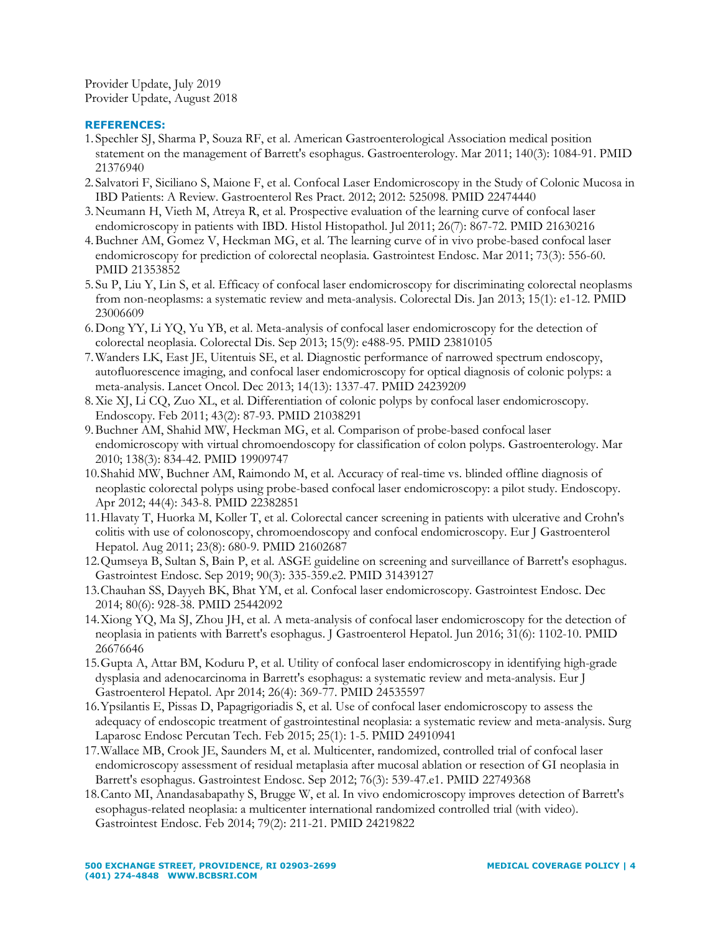Provider Update, July 2019 Provider Update, August 2018

### **REFERENCES:**

- 1. Spechler SJ, Sharma P, Souza RF, et al. American Gastroenterological Association medical position statement on the management of Barrett's esophagus. Gastroenterology. Mar 2011; 140(3): 1084-91. PMID 21376940
- 2. Salvatori F, Siciliano S, Maione F, et al. Confocal Laser Endomicroscopy in the Study of Colonic Mucosa in IBD Patients: A Review. Gastroenterol Res Pract. 2012; 2012: 525098. PMID 22474440
- 3.Neumann H, Vieth M, Atreya R, et al. Prospective evaluation of the learning curve of confocal laser endomicroscopy in patients with IBD. Histol Histopathol. Jul 2011; 26(7): 867-72. PMID 21630216
- 4.Buchner AM, Gomez V, Heckman MG, et al. The learning curve of in vivo probe-based confocal laser endomicroscopy for prediction of colorectal neoplasia. Gastrointest Endosc. Mar 2011; 73(3): 556-60. PMID 21353852
- 5. Su P, Liu Y, Lin S, et al. Efficacy of confocal laser endomicroscopy for discriminating colorectal neoplasms from non-neoplasms: a systematic review and meta-analysis. Colorectal Dis. Jan 2013; 15(1): e1-12. PMID 23006609
- 6.Dong YY, Li YQ, Yu YB, et al. Meta-analysis of confocal laser endomicroscopy for the detection of colorectal neoplasia. Colorectal Dis. Sep 2013; 15(9): e488-95. PMID 23810105
- 7.Wanders LK, East JE, Uitentuis SE, et al. Diagnostic performance of narrowed spectrum endoscopy, autofluorescence imaging, and confocal laser endomicroscopy for optical diagnosis of colonic polyps: a meta-analysis. Lancet Oncol. Dec 2013; 14(13): 1337-47. PMID 24239209
- 8.Xie XJ, Li CQ, Zuo XL, et al. Differentiation of colonic polyps by confocal laser endomicroscopy. Endoscopy. Feb 2011; 43(2): 87-93. PMID 21038291
- 9.Buchner AM, Shahid MW, Heckman MG, et al. Comparison of probe-based confocal laser endomicroscopy with virtual chromoendoscopy for classification of colon polyps. Gastroenterology. Mar 2010; 138(3): 834-42. PMID 19909747
- 10.Shahid MW, Buchner AM, Raimondo M, et al. Accuracy of real-time vs. blinded offline diagnosis of neoplastic colorectal polyps using probe-based confocal laser endomicroscopy: a pilot study. Endoscopy. Apr 2012; 44(4): 343-8. PMID 22382851
- 11.Hlavaty T, Huorka M, Koller T, et al. Colorectal cancer screening in patients with ulcerative and Crohn's colitis with use of colonoscopy, chromoendoscopy and confocal endomicroscopy. Eur J Gastroenterol Hepatol. Aug 2011; 23(8): 680-9. PMID 21602687
- 12.Qumseya B, Sultan S, Bain P, et al. ASGE guideline on screening and surveillance of Barrett's esophagus. Gastrointest Endosc. Sep 2019; 90(3): 335-359.e2. PMID 31439127
- 13.Chauhan SS, Dayyeh BK, Bhat YM, et al. Confocal laser endomicroscopy. Gastrointest Endosc. Dec 2014; 80(6): 928-38. PMID 25442092
- 14.Xiong YQ, Ma SJ, Zhou JH, et al. A meta-analysis of confocal laser endomicroscopy for the detection of neoplasia in patients with Barrett's esophagus. J Gastroenterol Hepatol. Jun 2016; 31(6): 1102-10. PMID 26676646
- 15.Gupta A, Attar BM, Koduru P, et al. Utility of confocal laser endomicroscopy in identifying high-grade dysplasia and adenocarcinoma in Barrett's esophagus: a systematic review and meta-analysis. Eur J Gastroenterol Hepatol. Apr 2014; 26(4): 369-77. PMID 24535597
- 16.Ypsilantis E, Pissas D, Papagrigoriadis S, et al. Use of confocal laser endomicroscopy to assess the adequacy of endoscopic treatment of gastrointestinal neoplasia: a systematic review and meta-analysis. Surg Laparosc Endosc Percutan Tech. Feb 2015; 25(1): 1-5. PMID 24910941
- 17.Wallace MB, Crook JE, Saunders M, et al. Multicenter, randomized, controlled trial of confocal laser endomicroscopy assessment of residual metaplasia after mucosal ablation or resection of GI neoplasia in Barrett's esophagus. Gastrointest Endosc. Sep 2012; 76(3): 539-47.e1. PMID 22749368
- 18.Canto MI, Anandasabapathy S, Brugge W, et al. In vivo endomicroscopy improves detection of Barrett's esophagus-related neoplasia: a multicenter international randomized controlled trial (with video). Gastrointest Endosc. Feb 2014; 79(2): 211-21. PMID 24219822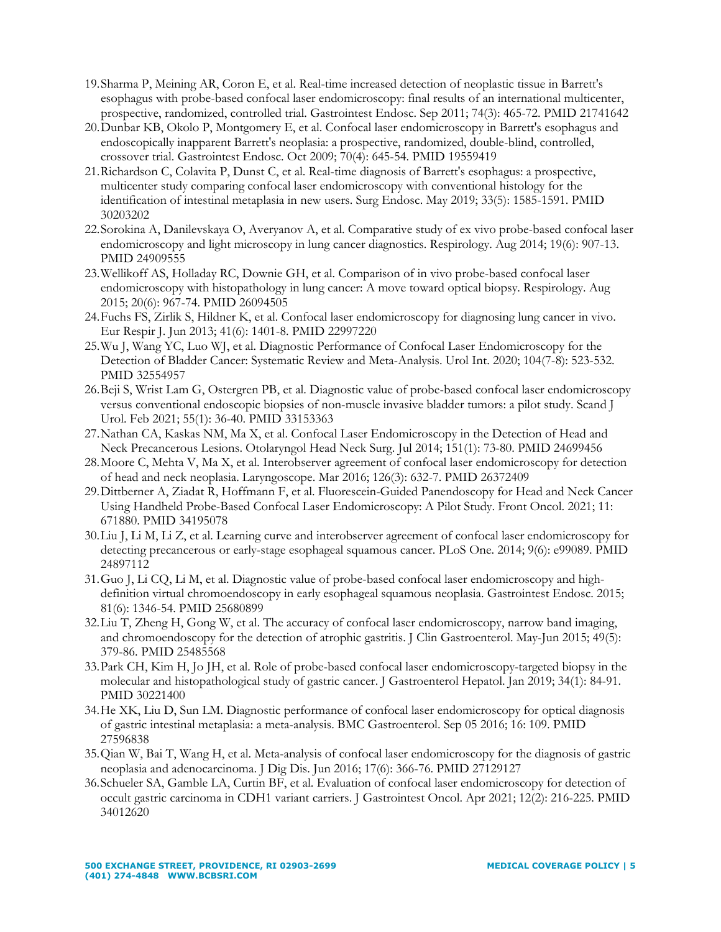- 19.Sharma P, Meining AR, Coron E, et al. Real-time increased detection of neoplastic tissue in Barrett's esophagus with probe-based confocal laser endomicroscopy: final results of an international multicenter, prospective, randomized, controlled trial. Gastrointest Endosc. Sep 2011; 74(3): 465-72. PMID 21741642
- 20.Dunbar KB, Okolo P, Montgomery E, et al. Confocal laser endomicroscopy in Barrett's esophagus and endoscopically inapparent Barrett's neoplasia: a prospective, randomized, double-blind, controlled, crossover trial. Gastrointest Endosc. Oct 2009; 70(4): 645-54. PMID 19559419
- 21.Richardson C, Colavita P, Dunst C, et al. Real-time diagnosis of Barrett's esophagus: a prospective, multicenter study comparing confocal laser endomicroscopy with conventional histology for the identification of intestinal metaplasia in new users. Surg Endosc. May 2019; 33(5): 1585-1591. PMID 30203202
- 22.Sorokina A, Danilevskaya O, Averyanov A, et al. Comparative study of ex vivo probe-based confocal laser endomicroscopy and light microscopy in lung cancer diagnostics. Respirology. Aug 2014; 19(6): 907-13. PMID 24909555
- 23.Wellikoff AS, Holladay RC, Downie GH, et al. Comparison of in vivo probe-based confocal laser endomicroscopy with histopathology in lung cancer: A move toward optical biopsy. Respirology. Aug 2015; 20(6): 967-74. PMID 26094505
- 24.Fuchs FS, Zirlik S, Hildner K, et al. Confocal laser endomicroscopy for diagnosing lung cancer in vivo. Eur Respir J. Jun 2013; 41(6): 1401-8. PMID 22997220
- 25.Wu J, Wang YC, Luo WJ, et al. Diagnostic Performance of Confocal Laser Endomicroscopy for the Detection of Bladder Cancer: Systematic Review and Meta-Analysis. Urol Int. 2020; 104(7-8): 523-532. PMID 32554957
- 26.Beji S, Wrist Lam G, Ostergren PB, et al. Diagnostic value of probe-based confocal laser endomicroscopy versus conventional endoscopic biopsies of non-muscle invasive bladder tumors: a pilot study. Scand J Urol. Feb 2021; 55(1): 36-40. PMID 33153363
- 27.Nathan CA, Kaskas NM, Ma X, et al. Confocal Laser Endomicroscopy in the Detection of Head and Neck Precancerous Lesions. Otolaryngol Head Neck Surg. Jul 2014; 151(1): 73-80. PMID 24699456
- 28.Moore C, Mehta V, Ma X, et al. Interobserver agreement of confocal laser endomicroscopy for detection of head and neck neoplasia. Laryngoscope. Mar 2016; 126(3): 632-7. PMID 26372409
- 29.Dittberner A, Ziadat R, Hoffmann F, et al. Fluorescein-Guided Panendoscopy for Head and Neck Cancer Using Handheld Probe-Based Confocal Laser Endomicroscopy: A Pilot Study. Front Oncol. 2021; 11: 671880. PMID 34195078
- 30.Liu J, Li M, Li Z, et al. Learning curve and interobserver agreement of confocal laser endomicroscopy for detecting precancerous or early-stage esophageal squamous cancer. PLoS One. 2014; 9(6): e99089. PMID 24897112
- 31.Guo J, Li CQ, Li M, et al. Diagnostic value of probe-based confocal laser endomicroscopy and highdefinition virtual chromoendoscopy in early esophageal squamous neoplasia. Gastrointest Endosc. 2015; 81(6): 1346-54. PMID 25680899
- 32.Liu T, Zheng H, Gong W, et al. The accuracy of confocal laser endomicroscopy, narrow band imaging, and chromoendoscopy for the detection of atrophic gastritis. J Clin Gastroenterol. May-Jun 2015; 49(5): 379-86. PMID 25485568
- 33.Park CH, Kim H, Jo JH, et al. Role of probe-based confocal laser endomicroscopy-targeted biopsy in the molecular and histopathological study of gastric cancer. J Gastroenterol Hepatol. Jan 2019; 34(1): 84-91. PMID 30221400
- 34.He XK, Liu D, Sun LM. Diagnostic performance of confocal laser endomicroscopy for optical diagnosis of gastric intestinal metaplasia: a meta-analysis. BMC Gastroenterol. Sep 05 2016; 16: 109. PMID 27596838
- 35.Qian W, Bai T, Wang H, et al. Meta-analysis of confocal laser endomicroscopy for the diagnosis of gastric neoplasia and adenocarcinoma. J Dig Dis. Jun 2016; 17(6): 366-76. PMID 27129127
- 36.Schueler SA, Gamble LA, Curtin BF, et al. Evaluation of confocal laser endomicroscopy for detection of occult gastric carcinoma in CDH1 variant carriers. J Gastrointest Oncol. Apr 2021; 12(2): 216-225. PMID 34012620